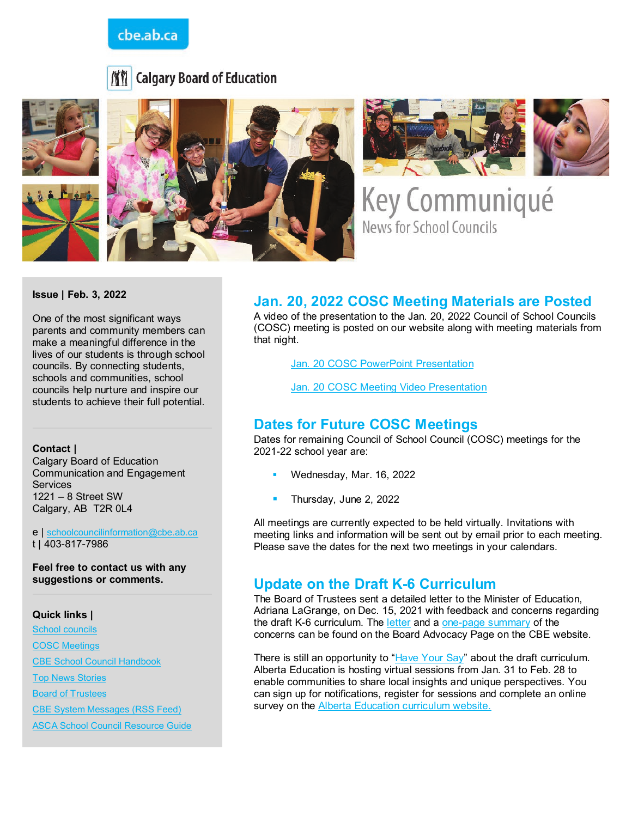## cbe.ab.ca







Key Communiqué **News for School Councils** 

**Issue | Feb. 3, 2022**

One of the most significant ways parents and community members can make a meaningful difference in the lives of our students is through school councils. By connecting students, schools and communities, school councils help nurture and inspire our students to achieve their full potential.

#### **Contact |**

Calgary Board of Education Communication and Engagement **Services** 1221 – 8 Street SW Calgary, AB T2R 0L4

e | [schoolcouncilinformation@cbe.ab.ca](mailto:schoolcouncilinformation@cbe.ab.ca) t | 403-817-7986

**Feel free to contact us with any suggestions or comments.**

#### **Quick links |**

[School councils](http://www.cbe.ab.ca/get-involved/school-councils/Pages/school-councils.aspx) [COSC Meetings](http://www.cbe.ab.ca/get-involved/school-councils/Pages/meetings.aspx)  [CBE School Council Handbook](http://cbe.ab.ca/FormsManuals/School-Council-Handbook.pdf) [Top News Stories](https://cbe.ab.ca/news-centre/Pages/default.aspx) [Board of Trustees](http://cbe.ab.ca/about-us/board-of-trustees/Pages/default.aspx) [CBE System Messages \(RSS Feed\)](http://cbe.ab.ca/news-centre/rss/Pages/default.aspx)  [ASCA School Council Resource Guide](https://www.albertaschoolcouncils.ca/public/download/files/181387)

## **Jan. 20, 2022 COSC Meeting Materials are Posted**

A video of the presentation to the Jan. 20, 2022 Council of School Councils (COSC) meeting is posted on our website along with meeting materials from that night.

[Jan. 20 COSC PowerPoint Presentation](https://www.cbe.ab.ca/get-involved/school-councils/Documents/20220120-COSC-Presentation.pdf)

[Jan. 20 COSC Meeting Video Presentation](https://www.youtube.com/watch?v=Lo0PDRxmiBg)

#### **Dates for Future COSC Meetings**

Dates for remaining Council of School Council (COSC) meetings for the 2021-22 school year are:

- Wednesday, Mar. 16, 2022
- Thursday, June 2, 2022

All meetings are currently expected to be held virtually. Invitations with meeting links and information will be sent out by email prior to each meeting. Please save the dates for the next two meetings in your calendars.

#### **Update on the Draft K-6 Curriculum**

The Board of Trustees sent a detailed letter to the Minister of Education, Adriana LaGrange, on Dec. 15, 2021 with feedback and concerns regarding the draft K-6 curriculum. The [letter](https://www.cbe.ab.ca/about-us/board-of-trustees/Documents/20211215-Letter-to-Minister-K-6-Draft-Curriculum.pdf) and a [one-page summary](https://www.cbe.ab.ca/about-us/board-of-trustees/Documents/20220126-Ensuring-Success-for-K-6-Learners.pdf) of the concerns can be found on the Board Advocacy Page on the CBE website.

There is still an opportunity to ["Have Your Say"](https://www.alberta.ca/curriculum-have-your-say.aspx?utm_source=google&utm_medium=sem&utm_campaign=K6&utm_term=Have-Your-Say&utm_content=sitelink) about the draft curriculum. Alberta Education is hosting virtual sessions from Jan. 31 to Feb. 28 to enable communities to share local insights and unique perspectives. You can sign up for notifications, register for sessions and complete an online survey on the [Alberta Education curriculum website.](https://www.alberta.ca/curriculum-have-your-say.aspx)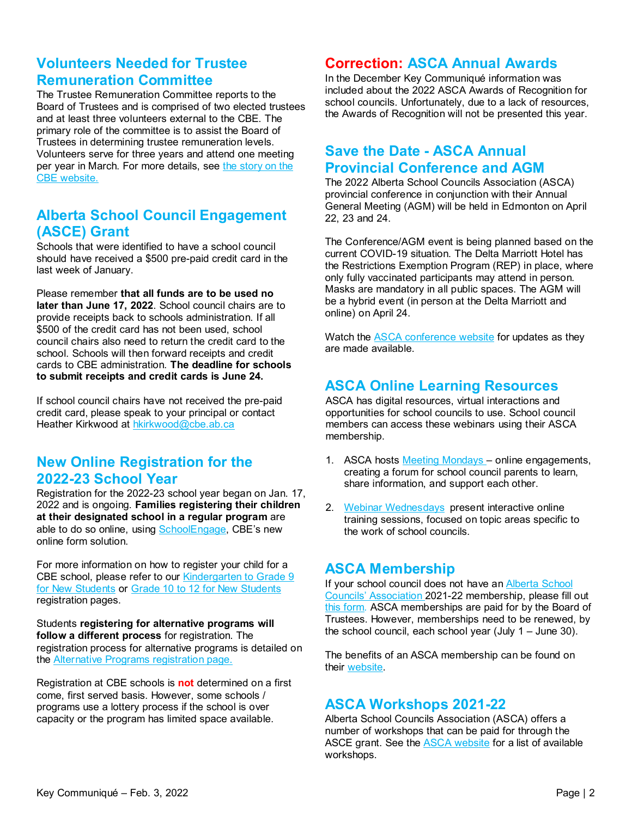## **Volunteers Needed for Trustee Remuneration Committee**

The Trustee Remuneration Committee reports to the Board of Trustees and is comprised of two elected trustees and at least three volunteers external to the CBE. The primary role of the committee is to assist the Board of Trustees in determining trustee remuneration levels. Volunteers serve for three years and attend one meeting per vear in March. For more details, see the story on the [CBE website.](https://www.cbe.ab.ca/news-centre/Pages/volunteer-help-steward-our-resources.aspx)

## **Alberta School Council Engagement (ASCE) Grant**

Schools that were identified to have a school council should have received a \$500 pre-paid credit card in the last week of January.

Please remember **that all funds are to be used no later than June 17, 2022**. School council chairs are to provide receipts back to schools administration. If all \$500 of the credit card has not been used, school council chairs also need to return the credit card to the school. Schools will then forward receipts and credit cards to CBE administration. **The deadline for schools to submit receipts and credit cards is June 24.** 

If school council chairs have not received the pre-paid credit card, please speak to your principal or contact Heather Kirkwood at [hkirkwood@cbe.ab.ca](mailto:hkirkwood@cbe.ab.ca)

# **New Online Registration for the 2022-23 School Year**

Registration for the 2022-23 school year began on Jan. 17, 2022 and is ongoing. **Families registering their children at their designated school in a regular program** are able to do so online, using [SchoolEngage,](https://schoolengage.cbe.ab.ca/#/login) CBE's new online form solution.

For more information on how to register your child for a CBE school, please refer to our [Kindergarten to Grade 9](https://www.cbe.ab.ca/registration/registration/Pages/Kindergarten-to-Grade-9.aspx)  [for New Students](https://www.cbe.ab.ca/registration/registration/Pages/Kindergarten-to-Grade-9.aspx) or [Grade 10 to 12 for New Students](https://www.cbe.ab.ca/registration/registration/Pages/Kindergarten-to-Grade-9.aspx) registration pages.

Students **registering for alternative programs will follow a different process** for registration. The registration process for alternative programs is detailed on the [Alternative Programs registration](https://www.cbe.ab.ca/registration/registration/Pages/alternative-programs.aspx) page.

Registration at CBE schools is **not** determined on a first come, first served basis. However, some schools / programs use a lottery process if the school is over capacity or the program has limited space available.

## **Correction: ASCA Annual Awards**

In the December Key Communiqué information was included about the 2022 ASCA Awards of Recognition for school councils. Unfortunately, due to a lack of resources, the Awards of Recognition will not be presented this year.

### **Save the Date - ASCA Annual Provincial Conference and AGM**

The 2022 Alberta School Councils Association (ASCA) provincial conference in conjunction with their Annual General Meeting (AGM) will be held in Edmonton on April 22, 23 and 24.

The Conference/AGM event is being planned based on the current COVID-19 situation. The Delta Marriott Hotel has the Restrictions Exemption Program (REP) in place, where only fully vaccinated participants may attend in person. Masks are mandatory in all public spaces. The AGM will be a hybrid event (in person at the Delta Marriott and online) on April 24.

Watch the [ASCA conference website](https://www.albertaschoolcouncils.ca/about/annual-conference) for updates as they are made available.

# **ASCA Online Learning Resources**

ASCA has digital resources, virtual interactions and opportunities for school councils to use. School council members can access these webinars using their ASCA membership.

- 1. ASCA hosts Meeting Mondays online engagements, creating a forum for school council parents to learn, share information, and support each other.
- 2. [Webinar Wednesdays](https://www.albertaschoolcouncils.ca/school-councils/webinars/webinar-wednesdays) present interactive online training sessions, focused on topic areas specific to the work of school councils.

# **ASCA Membership**

If your school council does not have a[n Alberta School](https://www.albertaschoolcouncils.ca/)  [Councils' Association](https://www.albertaschoolcouncils.ca/) 2021-22 membership, please fill out [this form](https://www.albertaschoolcouncils.ca/about/membership/request-for-membership)*.* ASCA memberships are paid for by the Board of Trustees. However, memberships need to be renewed, by the school council, each school year (July 1 – June 30).

The benefits of an ASCA membership can be found on their [website.](https://www.albertaschoolcouncils.ca/about/membership/benefits-of-membership)

## **ASCA Workshops 2021-22**

Alberta School Councils Association (ASCA) offers a number of workshops that can be paid for through the ASCE grant. See the [ASCA website](https://www.albertaschoolcouncils.ca/school-councils/workshops/workshops-2021-2022) for a list of available workshops.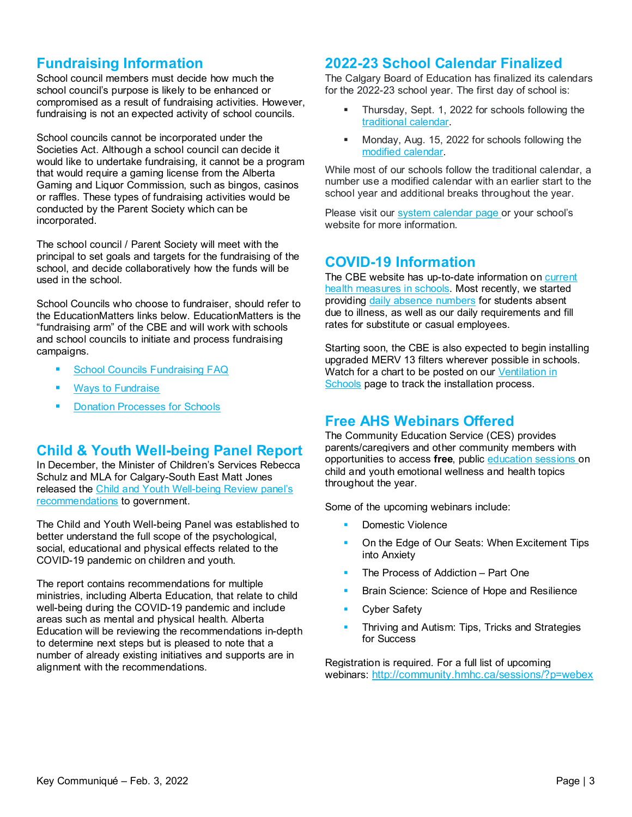# **Fundraising Information**

School council members must decide how much the school council's purpose is likely to be enhanced or compromised as a result of fundraising activities. However, fundraising is not an expected activity of school councils.

School councils cannot be incorporated under the Societies Act. Although a school council can decide it would like to undertake fundraising, it cannot be a program that would require a gaming license from the Alberta Gaming and Liquor Commission, such as bingos, casinos or raffles. These types of fundraising activities would be conducted by the Parent Society which can be incorporated.

The school council / Parent Society will meet with the principal to set goals and targets for the fundraising of the school, and decide collaboratively how the funds will be used in the school.

School Councils who choose to fundraiser, should refer to the EducationMatters links below. EducationMatters is the "fundraising arm" of the CBE and will work with schools and school councils to initiate and process fundraising campaigns.

- [School Councils Fundraising FAQ](https://www.educationmatters.ca/i-am/donors-school-societies/school-council-faq/)
- [Ways to Fundraise](https://www.educationmatters.ca/cms/wp-content/uploads/2021/05/HelpingSchoolFundraise-small.pdf)
- [Donation Processes for Schools](https://www.educationmatters.ca/cms/wp-content/uploads/2021/04/Donation-processes-for-schools-April-9.pdf)

## **Child & Youth Well-being Panel Report**

In December, the Minister of Children's Services Rebecca Schulz and MLA for Calgary-South East Matt Jones released the [Child and Youth Well-being Review panel's](https://open.alberta.ca/publications/child-and-youth-well-being-review-final-report)  [recommendations](https://open.alberta.ca/publications/child-and-youth-well-being-review-final-report) to government.

The Child and Youth Well-being Panel was established to better understand the full scope of the psychological, social, educational and physical effects related to the COVID-19 pandemic on children and youth.

The report contains recommendations for multiple ministries, including Alberta Education, that relate to child well-being during the COVID-19 pandemic and include areas such as mental and physical health. Alberta Education will be reviewing the recommendations in-depth to determine next steps but is pleased to note that a number of already existing initiatives and supports are in alignment with the recommendations.

### **2022-23 School Calendar Finalized**

The Calgary Board of Education has finalized its calendars for the 2022-23 school year. The first day of school is:

- Thursday, Sept. 1, 2022 for schools following the [traditional calendar.](https://www.cbe.ab.ca/registration/calendars/Documents/2022-2023-Traditional-Calendar.pdf)
- Monday, Aug. 15, 2022 for schools following the [modified calendar.](https://www.cbe.ab.ca/registration/calendars/Documents/2022-2023-Modified-Calendar.pdf)

While most of our schools follow the traditional calendar, a number use a modified calendar with an earlier start to the school year and additional breaks throughout the year.

Please visit our [system calendar page](https://www.cbe.ab.ca/registration/calendars/Pages/default.aspx) or your school's website for more information.

# **COVID-19 Information**

The CBE website has up-to-date information on [current](https://cbe.ab.ca/about-us/school-culture-and-environment/health-and-wellness-in-school/Pages/coronavirus.aspx)  health measures in schools</u>. Most recently, we started providing [daily absence numbers](https://cbe.ab.ca/about-us/school-culture-and-environment/health-and-wellness-in-school/Pages/absence-reporting.aspx) for students absent due to illness, as well as our daily requirements and fill rates for substitute or casual employees.

Starting soon, the CBE is also expected to begin installing upgraded MERV 13 filters wherever possible in schools. Watch for a chart to be posted on our Ventilation in [Schools](https://cbe.ab.ca/about-us/school-culture-and-environment/health-and-wellness-in-school/Pages/ventilation-in-schools.aspx) page to track the installation process.

# **Free AHS Webinars Offered**

The Community Education Service (CES) provides parents/caregivers and other community members with opportunities to access **free**, public [education sessions](http://community.hmhc.ca/sessions/) on child and youth emotional wellness and health topics throughout the year.

Some of the upcoming webinars include:

- Domestic Violence
- On the Edge of Our Seats: When Excitement Tips into Anxiety
- The Process of Addiction Part One
- Brain Science: Science of Hope and Resilience
- Cyber Safety
- Thriving and Autism: Tips, Tricks and Strategies for Success

Registration is required. For a full list of upcoming webinars:<http://community.hmhc.ca/sessions/?p=webex>